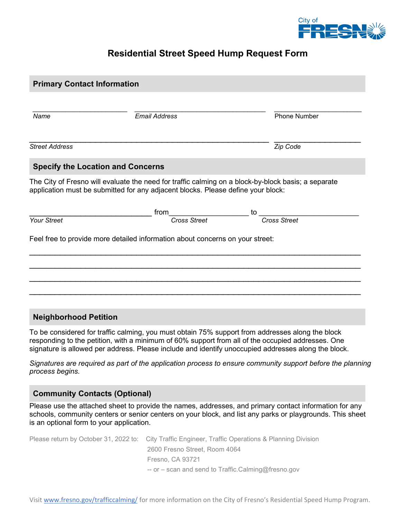

### **Residential Street Speed Hump Request Form**

| <b>Primary Contact Information</b>                                                                                                                                                      |                      |    |                     |
|-----------------------------------------------------------------------------------------------------------------------------------------------------------------------------------------|----------------------|----|---------------------|
|                                                                                                                                                                                         |                      |    |                     |
| Name                                                                                                                                                                                    | <b>Email Address</b> |    | <b>Phone Number</b> |
| <b>Street Address</b>                                                                                                                                                                   |                      |    | Zip Code            |
| <b>Specify the Location and Concerns</b>                                                                                                                                                |                      |    |                     |
| The City of Fresno will evaluate the need for traffic calming on a block-by-block basis; a separate<br>application must be submitted for any adjacent blocks. Please define your block: |                      |    |                     |
|                                                                                                                                                                                         |                      | to |                     |
| Your Street                                                                                                                                                                             |                      |    | Cross Street        |
| Feel free to provide more detailed information about concerns on your street:                                                                                                           |                      |    |                     |
|                                                                                                                                                                                         |                      |    |                     |
|                                                                                                                                                                                         |                      |    |                     |
| <b>Neighborhood Petition</b>                                                                                                                                                            |                      |    |                     |

To be considered for traffic calming, you must obtain 75% support from addresses along the block responding to the petition, with a minimum of 60% support from all of the occupied addresses. One signature is allowed per address. Please include and identify unoccupied addresses along the block.

*Signatures are required as part of the application process to ensure community support before the planning process begins.*

### **Community Contacts (Optional)**

Please use the attached sheet to provide the names, addresses, and primary contact information for any schools, community centers or senior centers on your block, and list any parks or playgrounds. This sheet is an optional form to your application.

| Please return by October 31, 2022 to: City Traffic Engineer, Traffic Operations & Planning Division |
|-----------------------------------------------------------------------------------------------------|
| 2600 Fresno Street, Room 4064                                                                       |
| Fresno, CA 93721                                                                                    |
| -- or – scan and send to Traffic.Calming@fresno.gov                                                 |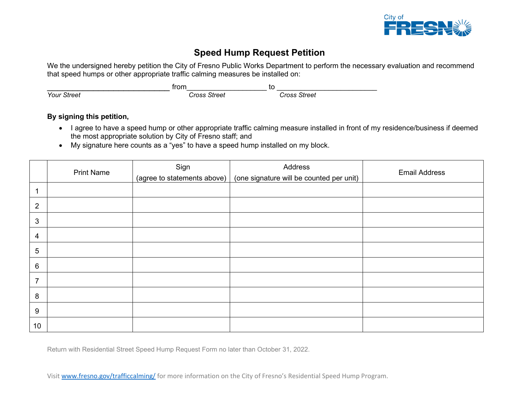

# **Speed Hump Request Petition**

We the undersigned hereby petition the City of Fresno Public Works Department to perform the necessary evaluation and recommend that speed humps or other appropriate traffic calming measures be installed on:

|                    | trom         | to           |
|--------------------|--------------|--------------|
| <b>Your Street</b> | Cross Street | Cross Street |

#### **By signing this petition,**

- I agree to have a speed hump or other appropriate traffic calming measure installed in front of my residence/business if deemed the most appropriate solution by City of Fresno staff; and
- My signature here counts as a "yes" to have a speed hump installed on my block.

|                 | <b>Print Name</b> | Sign                        | Address                                  | <b>Email Address</b> |
|-----------------|-------------------|-----------------------------|------------------------------------------|----------------------|
|                 |                   | (agree to statements above) | (one signature will be counted per unit) |                      |
|                 |                   |                             |                                          |                      |
| $\overline{2}$  |                   |                             |                                          |                      |
| $\mathbf{3}$    |                   |                             |                                          |                      |
| $\overline{4}$  |                   |                             |                                          |                      |
| 5               |                   |                             |                                          |                      |
| $6\phantom{1}6$ |                   |                             |                                          |                      |
| $\overline{7}$  |                   |                             |                                          |                      |
| 8               |                   |                             |                                          |                      |
| 9               |                   |                             |                                          |                      |
| 10              |                   |                             |                                          |                      |

Return with Residential Street Speed Hump Request Form no later than October 31, 2022.

Visit [www.fresno.gov/trafficcalming/](http://www.fresno.gov/trafficcalming/) for more information on the City of Fresno's Residential Speed Hump Program.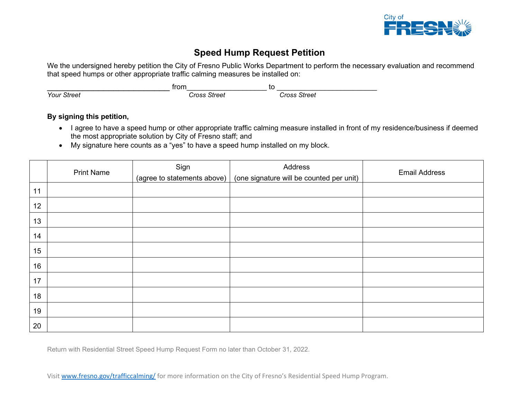

# **Speed Hump Request Petition**

We the undersigned hereby petition the City of Fresno Public Works Department to perform the necessary evaluation and recommend that speed humps or other appropriate traffic calming measures be installed on:

|                    | trom         | to           |
|--------------------|--------------|--------------|
| <b>Your Street</b> | Cross Street | Cross Street |

#### **By signing this petition,**

- I agree to have a speed hump or other appropriate traffic calming measure installed in front of my residence/business if deemed the most appropriate solution by City of Fresno staff; and
- My signature here counts as a "yes" to have a speed hump installed on my block.

|    | <b>Print Name</b> | Sign                        | Address                                  | <b>Email Address</b> |
|----|-------------------|-----------------------------|------------------------------------------|----------------------|
|    |                   | (agree to statements above) | (one signature will be counted per unit) |                      |
| 11 |                   |                             |                                          |                      |
| 12 |                   |                             |                                          |                      |
| 13 |                   |                             |                                          |                      |
| 14 |                   |                             |                                          |                      |
| 15 |                   |                             |                                          |                      |
| 16 |                   |                             |                                          |                      |
| 17 |                   |                             |                                          |                      |
| 18 |                   |                             |                                          |                      |
| 19 |                   |                             |                                          |                      |
| 20 |                   |                             |                                          |                      |

Return with Residential Street Speed Hump Request Form no later than October 31, 2022.

Visit [www.fresno.gov/trafficcalming/](http://www.fresno.gov/trafficcalming/) for more information on the City of Fresno's Residential Speed Hump Program.